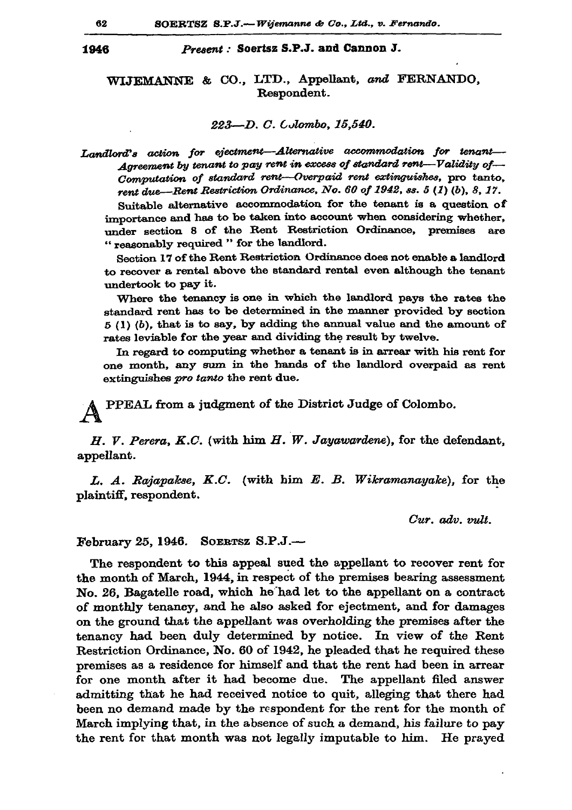1946

## Present: Soertsz S.P.J. and Cannon J.

## WIJEMANNE & CO., LTD., Appellant, and FERNANDO. Respondent.

## 223-D. C. Colombo, 15,540.

Landlord's action for ejectment-Alternative accommodation for tenant-Agreement by tenant to pay rent in excess of standard rent-Validity of-Computation of standard rent-Overpaid rent extinguishes, pro tanto, rent due—Rent Restriction Ordinance, No. 60 of 1942, ss. 5 (1) (b), 8, 17.

Suitable alternative accommodation for the tenant is a question of importance and has to be taken into account when considering whether, under section 8 of the Rent Restriction Ordinance, premises  $are$ "reasonably required " for the landlord.

Section 17 of the Rent Restriction Ordinance does not enable a landlord to recover a rental above the standard rental even although the tenant undertook to pay it.

Where the tenancy is one in which the landlord pays the rates the standard rent has to be determined in the manner provided by section  $5(1)(b)$ , that is to say, by adding the annual value and the amount of rates leviable for the year and dividing the result by twelve.

In regard to computing whether a tenant is in arrear with his rent for one month, any sum in the hands of the landlord overpaid as rent extinguishes pro tanto the rent due.

PPEAL from a judgment of the District Judge of Colombo.

 $H. V. Perera, K.C.$  (with him  $H. W. Jayawarden$ e), for the defendant, appellant.

L. A. Rajapakse, K.C. (with him E. B. Wikramanayake), for the plaintiff, respondent.

Cur. adv. vult.

SOERTSZ S.P.J.-February 25, 1946.

The respondent to this appeal sued the appellant to recover rent for the month of March, 1944, in respect of the premises bearing assessment No. 26, Bagatelle road, which he had let to the appellant on a contract of monthly tenancy, and he also asked for ejectment, and for damages on the ground that the appellant was overholding the premises after the tenancy had been duly determined by notice. In view of the Rent Restriction Ordinance, No. 60 of 1942, he pleaded that he required these premises as a residence for himself and that the rent had been in arrear for one month after it had become due. The appellant filed answer admitting that he had received notice to quit, alleging that there had been no demand made by the respondent for the rent for the month of March implying that, in the absence of such a demand, his failure to pay the rent for that month was not legally imputable to him. He prayed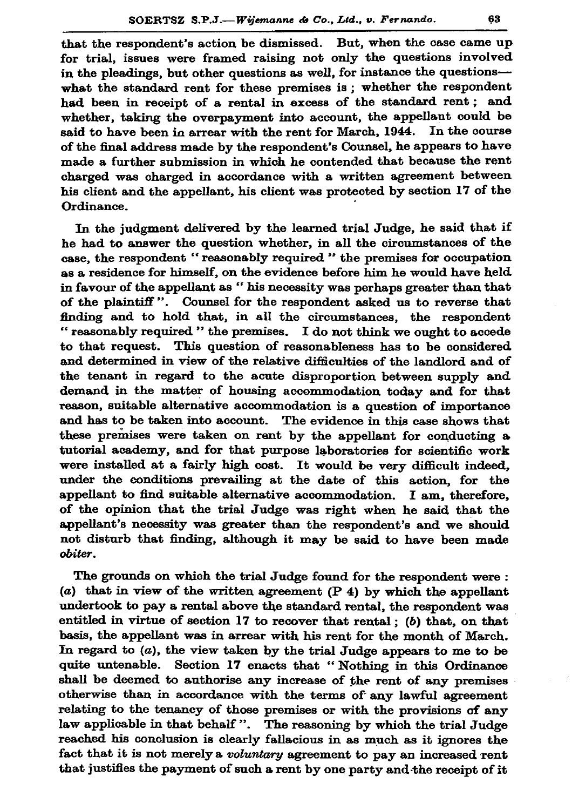that the respondent's action be dismissed. But, when the case came up for trial, issues were framed raising not only the questions involved in the pleadings, but other questions as well, for instance the questions what the standard rent for these premises is; whether the respondent had been in receipt of a rental in excess of the standard rent; and whether, taking the overpayment into account, the appellant could be said to have been in arrear with the rent for March, 1944. In the course of the final address made by the respondent's Counsel, he appears to have made a further submission in which he contended that because the rent charged was charged in accordance with a written agreement between his client and the appellant, his client was protected by section 17 of the Ordinance.

In the judgment delivered by the learned trial Judge, he said that if he had to answer the question whether, in all the circumstances of the case, the respondent "reasonably required " the premises for occupation as a residence for himself, on the evidence before him he would have held in favour of the appellant as " his necessity was perhaps greater than that of the plaintiff". Counsel for the respondent asked us to reverse that finding and to hold that, in all the circumstances, the respondent "reasonably required " the premises. I do not think we ought to accede to that request. This question of reasonableness has to be considered and determined in view of the relative difficulties of the landlord and of the tenant in regard to the acute disproportion between supply and demand in the matter of housing accommodation today and for that reason, suitable alternative accommodation is a question of importance and has to be taken into account. The evidence in this case shows that these premises were taken on rant by the appellant for conducting a tutorial academy, and for that purpose laboratories for scientific work were installed at a fairly high cost. It would be very difficult indeed, under the conditions prevailing at the date of this action, for the appellant to find suitable alternative accommodation. I am, therefore, of the opinion that the trial Judge was right when he said that the appellant's necessity was greater than the respondent's and we should not disturb that finding, although it may be said to have been made obiter.

The grounds on which the trial Judge found for the respondent were: (a) that in view of the written agreement  $(P 4)$  by which the appellant undertook to pay a rental above the standard rental, the respondent was entitled in virtue of section 17 to recover that rental; (b) that, on that basis, the appellant was in arrear with his rent for the month of March. In regard to  $(a)$ , the view taken by the trial Judge appears to me to be quite untenable. Section 17 enacts that "Nothing in this Ordinance shall be deemed to authorise any increase of the rent of any premises otherwise than in accordance with the terms of any lawful agreement relating to the tenancy of those premises or with the provisions of any law applicable in that behalf". The reasoning by which the trial Judge reached his conclusion is clearly fallacious in as much as it ignores the fact that it is not merely a voluntary agreement to pay an increased rent that justifies the payment of such a rent by one party and the receipt of it